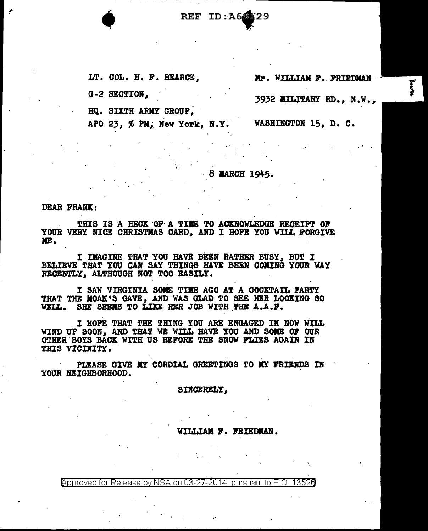REF ID: A6

LT. COL. H. F. BEARCE.

G-2 SECTION.

HQ. SIXTH ARMY GROUP.

APO 23, % PM, New York, N.Y. WASHINGTON 15, D. C.

Mr. WILLIAM F. FRIEDMAN

3932 MILITARY RD., N.W.,

 $-8$  MARCH 1945.

**DEAR FRANK:** 

THIS IS A HECK OF A TIME TO ACKNOWLEDGE RECEIPT OF YOUR VERY NICE CHRISTMAS CARD, AND I HOPE YOU WILL FORGIVE ME.

I IMAGINE THAT YOU HAVE BEEN RATHER BUSY, BUT I BELIEVE THAT YOU CAN SAY THINGS HAVE BEEN COMING YOUR WAY RECENTLY. ALTHOUGH NOT TOO EASILY.

I SAW VIRGINIA SOME TIME AGO AT A COCKTAIL PARTY THAT THE MOAK'S GAVE. AND WAS GLAD TO SEE HER LOOKING SO WELL. SHE SERMS TO LIKE HER JOB WITH THE A.A.F.

I HOPE THAT THE THING YOU ARE ENGAGED IN NOW WILL WIND UP SOON, AND THAT WE WILL HAVE YOU AND SOME OF OUR OTHER BOYS BACK WITH US BEFORE THE SNOW FLIES AGAIN IN THIS VICINITY.

PLEASE GIVE MY CORDIAL GREETINGS TO MY FRIENDS IN YOUR NEIGHBORHOOD.

SINCERELY.

WILLIAM F. FRIEDMAN.

Approved for Release by NSA on 03-27-2014 pursuant to E.O. 13526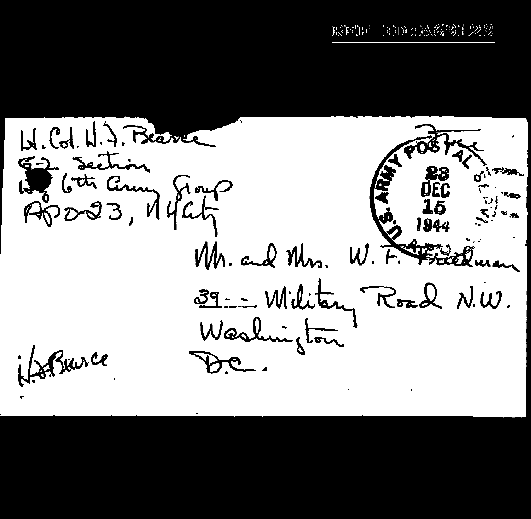H. Col. H. J. Beaver Jection Gray Apo-23, 14 4 4 **AFRIC** Mr. and Mrs. 39 -- William Road N.W. Washington Barce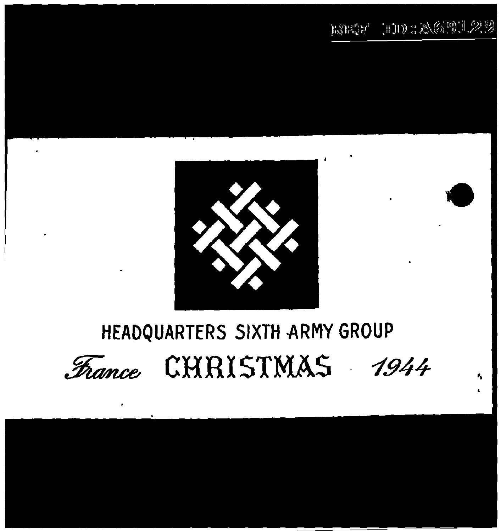${\rm E20257-1110\pm20.65311.2239}$ 



## HEADQUARTERS SIXTH ARMY GROUP CHRISTMAS France 1944